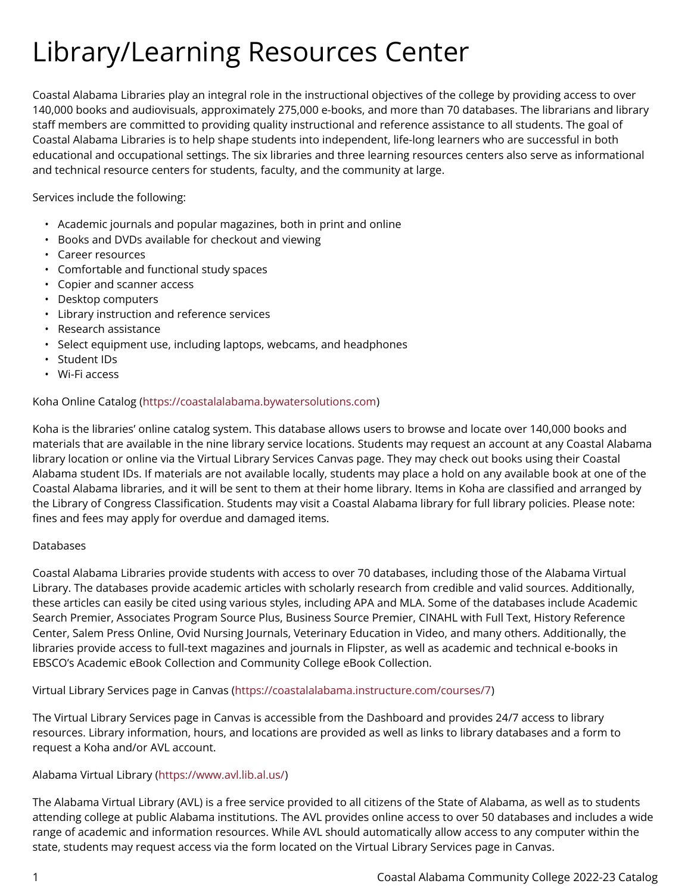# Library/Learning Resources Center

Coastal Alabama Libraries play an integral role in the instructional objectives of the college by providing access to over 140,000 books and audiovisuals, approximately 275,000 e-books, and more than 70 databases. The librarians and library staff members are committed to providing quality instructional and reference assistance to all students. The goal of Coastal Alabama Libraries is to help shape students into independent, life-long learners who are successful in both educational and occupational settings. The six libraries and three learning resources centers also serve as informational and technical resource centers for students, faculty, and the community at large.

Services include the following:

- Academic journals and popular magazines, both in print and online
- Books and DVDs available for checkout and viewing
- Career resources
- Comfortable and functional study spaces
- Copier and scanner access
- Desktop computers
- Library instruction and reference services
- Research assistance
- Select equipment use, including laptops, webcams, and headphones
- Student IDs
- Wi-Fi access

## Koha Online Catalog ([https://coastalalabama.bywatersolutions.com\)](https://coastalalabama.bywatersolutions.com/)

Koha is the libraries' online catalog system. This database allows users to browse and locate over 140,000 books and materials that are available in the nine library service locations. Students may request an account at any Coastal Alabama library location or online via the Virtual Library Services Canvas page. They may check out books using their Coastal Alabama student IDs. If materials are not available locally, students may place a hold on any available book at one of the Coastal Alabama libraries, and it will be sent to them at their home library. Items in Koha are classified and arranged by the Library of Congress Classification. Students may visit a Coastal Alabama library for full library policies. Please note: fines and fees may apply for overdue and damaged items.

## **Databases**

Coastal Alabama Libraries provide students with access to over 70 databases, including those of the Alabama Virtual Library. The databases provide academic articles with scholarly research from credible and valid sources. Additionally, these articles can easily be cited using various styles, including APA and MLA. Some of the databases include Academic Search Premier, Associates Program Source Plus, Business Source Premier, CINAHL with Full Text, History Reference Center, Salem Press Online, Ovid Nursing Journals, Veterinary Education in Video, and many others. Additionally, the libraries provide access to full-text magazines and journals in Flipster, as well as academic and technical e-books in EBSCO's Academic eBook Collection and Community College eBook Collection.

Virtual Library Services page in Canvas [\(https://coastalalabama.instructure.com/courses/7](https://coastalalabama.instructure.com/courses/7))

The Virtual Library Services page in Canvas is accessible from the Dashboard and provides 24/7 access to library resources. Library information, hours, and locations are provided as well as links to library databases and a form to request a Koha and/or AVL account.

## Alabama Virtual Library (<https://www.avl.lib.al.us/>)

The Alabama Virtual Library (AVL) is a free service provided to all citizens of the State of Alabama, as well as to students attending college at public Alabama institutions. The AVL provides online access to over 50 databases and includes a wide range of academic and information resources. While AVL should automatically allow access to any computer within the state, students may request access via the form located on the Virtual Library Services page in Canvas.